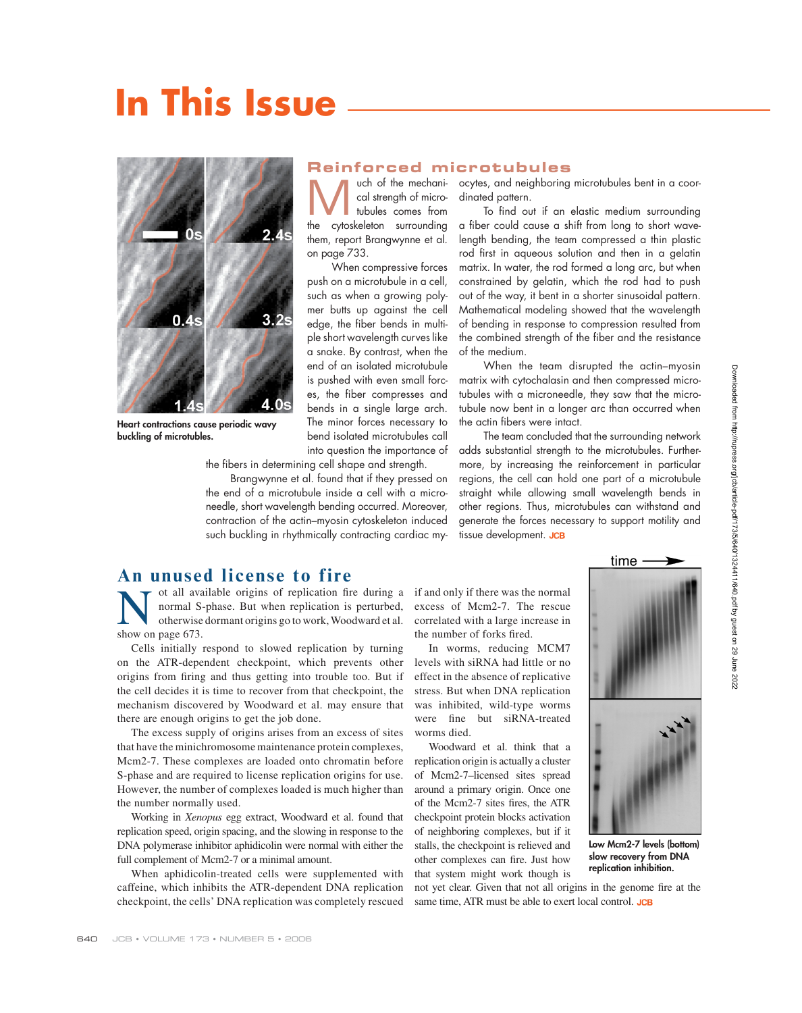# **In This Issue**



**Heart contractions cause periodic wavy buckling of microtubles.**

#### **Reinforced microtubules**

who of the mechani-<br>cal strength of micro-<br>tubules comes from cal strength of microtubules comes from the cytoskeleton surrounding them, report Brangwynne et al. on page 733.

When compressive forces push on a microtubule in a cell, such as when a growing polymer butts up against the cell edge, the fiber bends in multiple short wavelength curves like a snake. By contrast, when the end of an isolated microtubule is pushed with even small forces, the fiber compresses and bends in a single large arch. The minor forces necessary to bend isolated microtubules call into question the importance of

the fibers in determining cell shape and strength.

Brangwynne et al. found that if they pressed on the end of a microtubule inside a cell with a microneedle, short wavelength bending occurred. Moreover, contraction of the actin–myosin cytoskeleton induced such buckling in rhythmically contracting cardiac my-

ocytes, and neighboring microtubules bent in a coordinated pattern.

To find out if an elastic medium surrounding a fiber could cause a shift from long to short wavelength bending, the team compressed a thin plastic rod first in aqueous solution and then in a gelatin matrix. In water, the rod formed a long arc, but when constrained by gelatin, which the rod had to push out of the way, it bent in a shorter sinusoidal pattern. Mathematical modeling showed that the wavelength of bending in response to compression resulted from the combined strength of the fiber and the resistance of the medium.

When the team disrupted the actin–myosin matrix with cytochalasin and then compressed microtubules with a microneedle, they saw that the microtubule now bent in a longer arc than occurred when the actin fibers were intact.

The team concluded that the surrounding network adds substantial strength to the microtubules. Furthermore, by increasing the reinforcement in particular regions, the cell can hold one part of a microtubule straight while allowing small wavelength bends in other regions. Thus, microtubules can withstand and generate the forces necessary to support motility and tissue development. JCB

## **An unused license to fire**<br> **T** ot all available origins of replication fire during a

Not all available origins of replication fire during a<br>normal S-phase. But when replication is perturbed,<br>otherwise dormant origins go to work, Woodward et al.<br>show on page 673 normal S-phase. But when replication is perturbed, otherwise dormant origins go to work, Woodward et al. show on page 673.

Cells initially respond to slowed replication by turning on the ATR-dependent checkpoint, which prevents other origins from firing and thus getting into trouble too. But if the cell decides it is time to recover from that checkpoint, the mechanism discovered by Woodward et al. may ensure that there are enough origins to get the job done.

The excess supply of origins arises from an excess of sites that have the minichromosome maintenance protein complexes, Mcm2-7. These complexes are loaded onto chromatin before S-phase and are required to license replication origins for use. However, the number of complexes loaded is much higher than the number normally used.

Working in *Xenopus* egg extract, Woodward et al. found that replication speed, origin spacing, and the slowing in response to the DNA polymerase inhibitor aphidicolin were normal with either the full complement of Mcm2-7 or a minimal amount.

When aphidicolin-treated cells were supplemented with caffeine, which inhibits the ATR-dependent DNA replication checkpoint, the cells' DNA replication was completely rescued

if and only if there was the normal excess of Mcm2-7. The rescue correlated with a large increase in the number of forks fired.

In worms, reducing MCM7 levels with siRNA had little or no effect in the absence of replicative stress. But when DNA replication was inhibited, wild-type worms were fine but siRNA-treated worms died.

Woodward et al. think that a replication origin is actually a cluster of Mcm2-7–licensed sites spread around a primary origin. Once one of the Mcm2-7 sites fires, the ATR checkpoint protein blocks activation of neighboring complexes, but if it stalls, the checkpoint is relieved and other complexes can fire. Just how that system might work though is



**Low Mcm2-7 levels (bottom) slow recovery from DNA replication inhibition.**

not yet clear. Given that not all origins in the genome fire at the same time, ATR must be able to exert local control. JCB